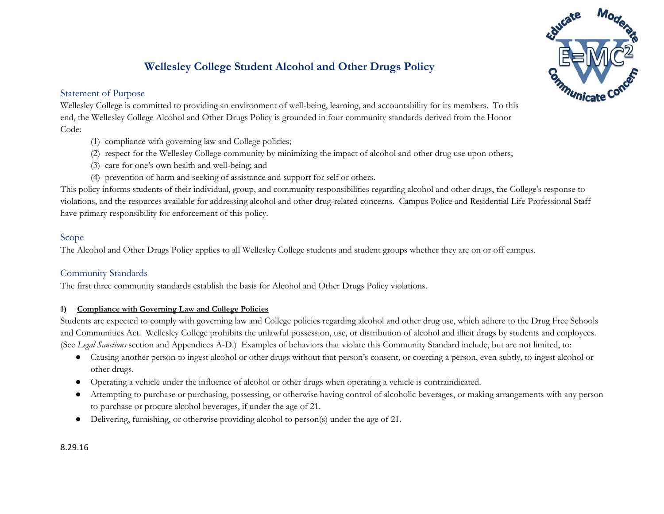# **Wellesley College Student Alcohol and Other Drugs Policy**

# Statement of Purpose



Wellesley College is committed to providing an environment of well-being, learning, and accountability for its members. To this end, the Wellesley College Alcohol and Other Drugs Policy is grounded in four community standards derived from the Honor Code:

- (1) compliance with governing law and College policies;
- (2) respect for the Wellesley College community by minimizing the impact of alcohol and other drug use upon others;
- (3) care for one's own health and well-being; and
- (4) prevention of harm and seeking of assistance and support for self or others.

This policy informs students of their individual, group, and community responsibilities regarding alcohol and other drugs, the College's response to violations, and the resources available for addressing alcohol and other drug-related concerns. Campus Police and Residential Life Professional Staff have primary responsibility for enforcement of this policy.

## Scope

The Alcohol and Other Drugs Policy applies to all Wellesley College students and student groups whether they are on or off campus.

## Community Standards

The first three community standards establish the basis for Alcohol and Other Drugs Policy violations.

## **1) Compliance with Governing Law and College Policies**

Students are expected to comply with governing law and College policies regarding alcohol and other drug use, which adhere to the Drug Free Schools and Communities Act. Wellesley College prohibits the unlawful possession, use, or distribution of alcohol and illicit drugs by students and employees. (See *Legal Sanctions* section and Appendices A-D.) Examples of behaviors that violate this Community Standard include, but are not limited, to:

- Causing another person to ingest alcohol or other drugs without that person's consent, or coercing a person, even subtly, to ingest alcohol or other drugs.
- Operating a vehicle under the influence of alcohol or other drugs when operating a vehicle is contraindicated.
- Attempting to purchase or purchasing, possessing, or otherwise having control of alcoholic beverages, or making arrangements with any person to purchase or procure alcohol beverages, if under the age of 21.
- Delivering, furnishing, or otherwise providing alcohol to person(s) under the age of 21.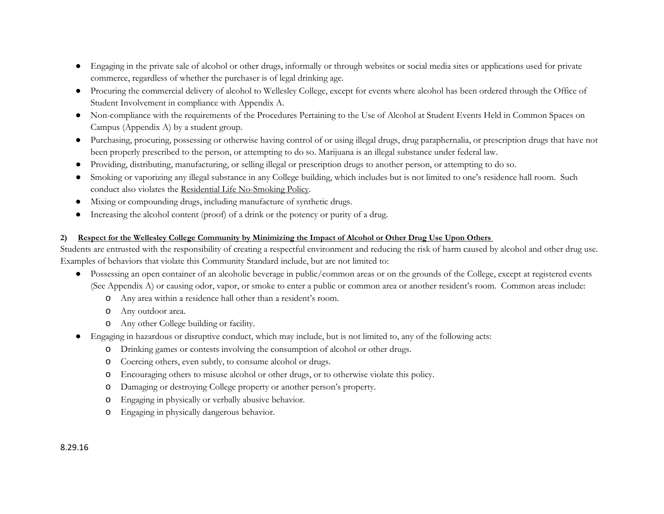- Engaging in the private sale of alcohol or other drugs, informally or through websites or social media sites or applications used for private commerce, regardless of whether the purchaser is of legal drinking age.
- Procuring the commercial delivery of alcohol to Wellesley College, except for events where alcohol has been ordered through the Office of Student Involvement in compliance with Appendix A.
- Non-compliance with the requirements of the Procedures Pertaining to the Use of Alcohol at Student Events Held in Common Spaces on Campus (Appendix A) by a student group.
- Purchasing, procuring, possessing or otherwise having control of or using illegal drugs, drug paraphernalia, or prescription drugs that have not been properly prescribed to the person, or attempting to do so. Marijuana is an illegal substance under federal law.
- Providing, distributing, manufacturing, or selling illegal or prescription drugs to another person, or attempting to do so.
- Smoking or vaporizing any illegal substance in any College building, which includes but is not limited to one's residence hall room. Such conduct also violates the Residential [Life No-Smoking Policy.](http://www.wellesley.edu/studentlife/aboutus/handbook/campus)
- Mixing or compounding drugs, including manufacture of synthetic drugs.
- Increasing the alcohol content (proof) of a drink or the potency or purity of a drug.

### **2) Respect for the Wellesley College Community by Minimizing the Impact of Alcohol or Other Drug Use Upon Others**

Students are entrusted with the responsibility of creating a respectful environment and reducing the risk of harm caused by alcohol and other drug use. Examples of behaviors that violate this Community Standard include, but are not limited to:

- Possessing an open container of an alcoholic beverage in public/common areas or on the grounds of the College, except at registered events (See Appendix A) or causing odor, vapor, or smoke to enter a public or common area or another resident's room. Common areas include:
	- o Any area within a residence hall other than a resident's room.
	- o Any outdoor area.
	- o Any other College building or facility.
- Engaging in hazardous or disruptive conduct, which may include, but is not limited to, any of the following acts:
	- o Drinking games or contests involving the consumption of alcohol or other drugs.
	- o Coercing others, even subtly, to consume alcohol or drugs.
	- o Encouraging others to misuse alcohol or other drugs, or to otherwise violate this policy.
	- o Damaging or destroying College property or another person's property.
	- o Engaging in physically or verbally abusive behavior.
	- o Engaging in physically dangerous behavior.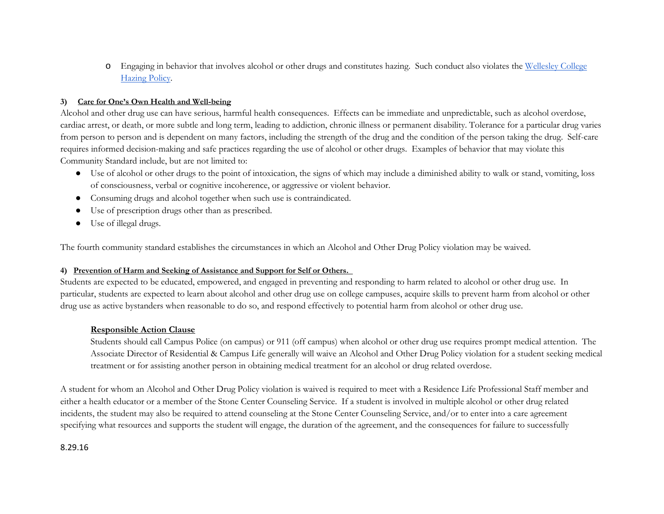o Engaging in behavior that involves alcohol or other drugs and constitutes hazing. Such conduct also violates the [Wellesley College](https://www.wellesley.edu/sites/default/files/assets/departments/studentlife/files/hazing.7.29.2014.pdf)  [Hazing Policy.](https://www.wellesley.edu/sites/default/files/assets/departments/studentlife/files/hazing.7.29.2014.pdf)

#### **3) Care for One's Own Health and Well-being**

Alcohol and other drug use can have serious, harmful health consequences. Effects can be immediate and unpredictable, such as alcohol overdose, cardiac arrest, or death, or more subtle and long term, leading to addiction, chronic illness or permanent disability. Tolerance for a particular drug varies from person to person and is dependent on many factors, including the strength of the drug and the condition of the person taking the drug. Self-care requires informed decision-making and safe practices regarding the use of alcohol or other drugs. Examples of behavior that may violate this Community Standard include, but are not limited to:

- Use of alcohol or other drugs to the point of intoxication, the signs of which may include a diminished ability to walk or stand, vomiting, loss of consciousness, verbal or cognitive incoherence, or aggressive or violent behavior.
- Consuming drugs and alcohol together when such use is contraindicated.
- Use of prescription drugs other than as prescribed.
- Use of illegal drugs.

The fourth community standard establishes the circumstances in which an Alcohol and Other Drug Policy violation may be waived.

#### **4) Prevention of Harm and Seeking of Assistance and Support for Self or Others.**

Students are expected to be educated, empowered, and engaged in preventing and responding to harm related to alcohol or other drug use. In particular, students are expected to learn about alcohol and other drug use on college campuses, acquire skills to prevent harm from alcohol or other drug use as active bystanders when reasonable to do so, and respond effectively to potential harm from alcohol or other drug use.

### **Responsible Action Clause**

Students should call Campus Police (on campus) or 911 (off campus) when alcohol or other drug use requires prompt medical attention. The Associate Director of Residential & Campus Life generally will waive an Alcohol and Other Drug Policy violation for a student seeking medical treatment or for assisting another person in obtaining medical treatment for an alcohol or drug related overdose.

A student for whom an Alcohol and Other Drug Policy violation is waived is required to meet with a Residence Life Professional Staff member and either a health educator or a member of the Stone Center Counseling Service. If a student is involved in multiple alcohol or other drug related incidents, the student may also be required to attend counseling at the Stone Center Counseling Service, and/or to enter into a care agreement specifying what resources and supports the student will engage, the duration of the agreement, and the consequences for failure to successfully

### 8.29.16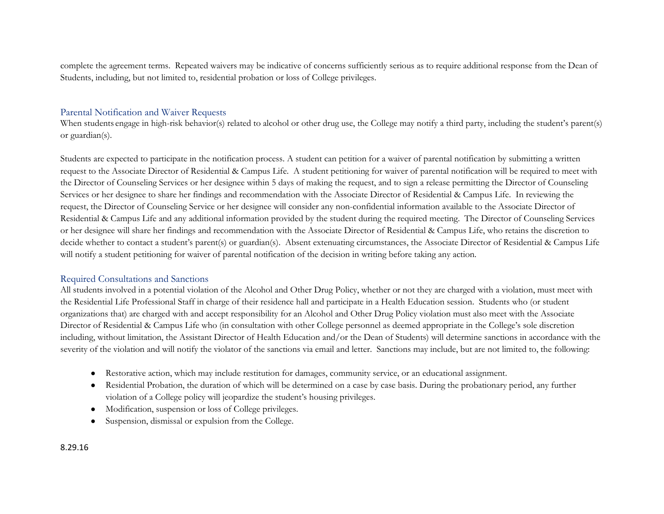complete the agreement terms. Repeated waivers may be indicative of concerns sufficiently serious as to require additional response from the Dean of Students, including, but not limited to, residential probation or loss of College privileges.

## Parental Notification and Waiver Requests

When students engage in high-risk behavior(s) related to alcohol or other drug use, the College may notify a third party, including the student's parent(s) or guardian(s).

Students are expected to participate in the notification process. A student can petition for a waiver of parental notification by submitting a written request to the Associate Director of Residential & Campus Life. A student petitioning for waiver of parental notification will be required to meet with the Director of Counseling Services or her designee within 5 days of making the request, and to sign a release permitting the Director of Counseling Services or her designee to share her findings and recommendation with the Associate Director of Residential & Campus Life. In reviewing the request, the Director of Counseling Service or her designee will consider any non-confidential information available to the Associate Director of Residential & Campus Life and any additional information provided by the student during the required meeting. The Director of Counseling Services or her designee will share her findings and recommendation with the Associate Director of Residential & Campus Life, who retains the discretion to decide whether to contact a student's parent(s) or guardian(s). Absent extenuating circumstances, the Associate Director of Residential & Campus Life will notify a student petitioning for waiver of parental notification of the decision in writing before taking any action.

### Required Consultations and Sanctions

All students involved in a potential violation of the Alcohol and Other Drug Policy, whether or not they are charged with a violation, must meet with the Residential Life Professional Staff in charge of their residence hall and participate in a Health Education session. Students who (or student organizations that) are charged with and accept responsibility for an Alcohol and Other Drug Policy violation must also meet with the Associate Director of Residential & Campus Life who (in consultation with other College personnel as deemed appropriate in the College's sole discretion including, without limitation, the Assistant Director of Health Education and/or the Dean of Students) will determine sanctions in accordance with the severity of the violation and will notify the violator of the sanctions via email and letter. Sanctions may include, but are not limited to, the following:

- Restorative action, which may include restitution for damages, community service, or an educational assignment.
- Residential Probation, the duration of which will be determined on a case by case basis. During the probationary period, any further violation of a College policy will jeopardize the student's housing privileges.
- Modification, suspension or loss of College privileges.
- Suspension, dismissal or expulsion from the College.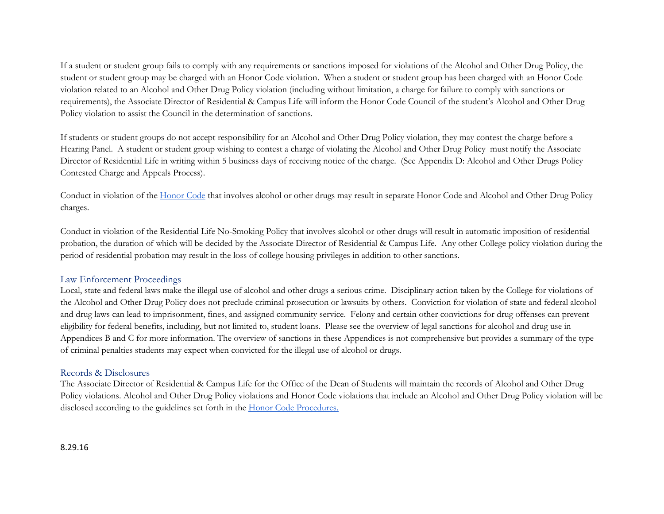If a student or student group fails to comply with any requirements or sanctions imposed for violations of the Alcohol and Other Drug Policy, the student or student group may be charged with an Honor Code violation. When a student or student group has been charged with an Honor Code violation related to an Alcohol and Other Drug Policy violation (including without limitation, a charge for failure to comply with sanctions or requirements), the Associate Director of Residential & Campus Life will inform the Honor Code Council of the student's Alcohol and Other Drug Policy violation to assist the Council in the determination of sanctions.

If students or student groups do not accept responsibility for an Alcohol and Other Drug Policy violation, they may contest the charge before a Hearing Panel. A student or student group wishing to contest a charge of violating the Alcohol and Other Drug Policy must notify the Associate Director of Residential Life in writing within 5 business days of receiving notice of the charge. (See Appendix D: Alcohol and Other Drugs Policy Contested Charge and Appeals Process).

Conduct in violation of the <u>Honor Code</u> that involves alcohol or other drugs may result in separate [Honor Code](http://www.wellesley.edu/studentlife/aboutus/honor) and Alcohol and Other Drug Policy charges.

Conduct in violation of the [Residential Life No-Smoking Policy](http://www.wellesley.edu/studentlife/aboutus/handbook/campus) that involves alcohol or other drugs will result in automatic imposition of residential probation, the duration of which will be decided by the Associate Director of Residential & Campus Life. Any other College policy violation during the period of residential probation may result in the loss of college housing privileges in addition to other sanctions.

### Law Enforcement Proceedings

Local, state and federal laws make the illegal use of alcohol and other drugs a serious crime. Disciplinary action taken by the College for violations of the Alcohol and Other Drug Policy does not preclude criminal prosecution or lawsuits by others. Conviction for violation of state and federal alcohol and drug laws can lead to imprisonment, fines, and assigned community service. Felony and certain other convictions for drug offenses can prevent eligibility for federal benefits, including, but not limited to, student loans. Please see the overview of legal sanctions for alcohol and drug use in Appendices B and C for more information. The overview of sanctions in these Appendices is not comprehensive but provides a summary of the type of criminal penalties students may expect when convicted for the illegal use of alcohol or drugs.

### Records & Disclosures

The Associate Director of Residential & Campus Life for the Office of the Dean of Students will maintain the records of Alcohol and Other Drug Policy violations. Alcohol and Other Drug Policy violations and Honor Code violations that include an Alcohol and Other Drug Policy violation will be disclosed according to the guidelines set forth in the **Honor Code Procedures**.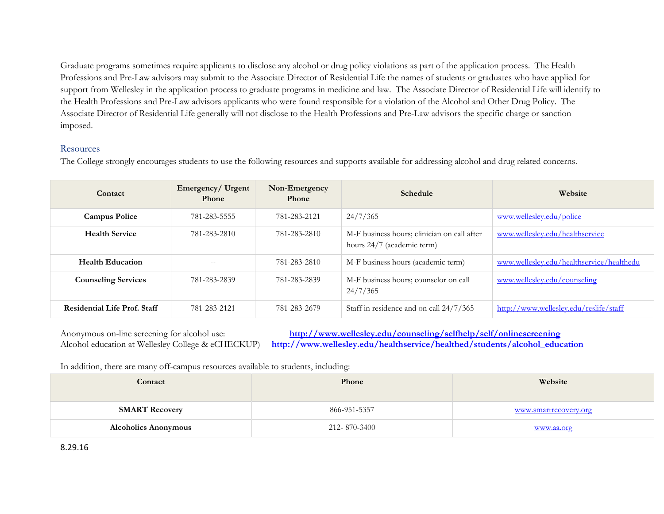Graduate programs sometimes require applicants to disclose any alcohol or drug policy violations as part of the application process. The Health Professions and Pre-Law advisors may submit to the Associate Director of Residential Life the names of students or graduates who have applied for support from Wellesley in the application process to graduate programs in medicine and law. The Associate Director of Residential Life will identify to the Health Professions and Pre-Law advisors applicants who were found responsible for a violation of the Alcohol and Other Drug Policy. The Associate Director of Residential Life generally will not disclose to the Health Professions and Pre-Law advisors the specific charge or sanction imposed.

### **Resources**

The College strongly encourages students to use the following resources and supports available for addressing alcohol and drug related concerns.

| Contact                             | Emergency/ Urgent<br><b>Phone</b> | Non-Emergency<br>Phone | <b>Schedule</b>                                                           | Website                                   |
|-------------------------------------|-----------------------------------|------------------------|---------------------------------------------------------------------------|-------------------------------------------|
| <b>Campus Police</b>                | 781-283-5555                      | 781-283-2121           | 24/7/365                                                                  | www.wellesley.edu/police                  |
| <b>Health Service</b>               | 781-283-2810                      | 781-283-2810           | M-F business hours; clinician on call after<br>hours 24/7 (academic term) | www.wellesley.edu/healthservice           |
| <b>Health Education</b>             | $- -$                             | 781-283-2810           | M-F business hours (academic term)                                        | www.wellesley.edu/healthservice/healthedu |
| <b>Counseling Services</b>          | 781-283-2839                      | 781-283-2839           | M-F business hours; counselor on call<br>24/7/365                         | www.wellesley.edu/counseling              |
| <b>Residential Life Prof. Staff</b> | 781-283-2121                      | 781-283-2679           | Staff in residence and on call 24/7/365                                   | http://www.wellesley.edu/reslife/staff    |

Anonymous on-line screening for alcohol use: **<http://www.wellesley.edu/counseling/selfhelp/self/onlinescreening>**<br>Alcohol education at Wellesley College & eCHECKUP) http://www.wellesley.edu/healthservice/healthed/students/a [http://www.wellesley.edu/healthservice/healthed/students/alcohol\\_education](http://www.wellesley.edu/healthservice/healthed/students/alcohol_education)

In addition, there are many off-campus resources available to students, including:

| Contact                     | Phone        | Website               |
|-----------------------------|--------------|-----------------------|
| <b>SMART Recovery</b>       | 866-951-5357 | www.smartrecovery.org |
| <b>Alcoholics Anonymous</b> | 212-870-3400 | www.aa.org            |